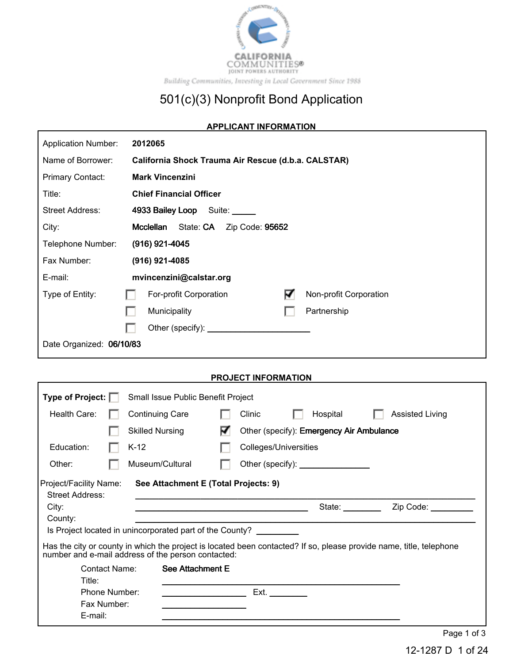

### **APPLICANT INFORMATION**

Г

Г

| <b>Application Number:</b> | 2012065                                               |  |  |  |  |
|----------------------------|-------------------------------------------------------|--|--|--|--|
| Name of Borrower:          | California Shock Trauma Air Rescue (d.b.a. CALSTAR)   |  |  |  |  |
| <b>Primary Contact:</b>    | <b>Mark Vincenzini</b>                                |  |  |  |  |
| Title:                     | <b>Chief Financial Officer</b>                        |  |  |  |  |
| Street Address:            | 4933 Bailey Loop Suite:                               |  |  |  |  |
| City:                      | Mcclellan<br>State: CA<br>Zip Code: 95652             |  |  |  |  |
| Telephone Number:          | $(916)$ 921-4045                                      |  |  |  |  |
| Fax Number:                | (916) 921-4085                                        |  |  |  |  |
| E-mail:                    | mvincenzini@calstar.org                               |  |  |  |  |
| Type of Entity:            | ☑<br>Non-profit Corporation<br>For-profit Corporation |  |  |  |  |
|                            | Partnership<br>Municipality                           |  |  |  |  |
|                            | Other (specify): _____                                |  |  |  |  |
| Date Organized: 06/10/83   |                                                       |  |  |  |  |

### **PROJECT INFORMATION**

|                                                  | Type of Project:  <br>Small Issue Public Benefit Project |                                                                                                                                                                           |  |                       |                                              |  |                        |
|--------------------------------------------------|----------------------------------------------------------|---------------------------------------------------------------------------------------------------------------------------------------------------------------------------|--|-----------------------|----------------------------------------------|--|------------------------|
| Health Care:                                     |                                                          | <b>Continuing Care</b>                                                                                                                                                    |  | Clinic                | Hospital                                     |  | <b>Assisted Living</b> |
|                                                  |                                                          | <b>Skilled Nursing</b>                                                                                                                                                    |  |                       | Other (specify): Emergency Air Ambulance     |  |                        |
| Education:                                       |                                                          | K-12                                                                                                                                                                      |  | Colleges/Universities |                                              |  |                        |
| Other:                                           |                                                          | Museum/Cultural                                                                                                                                                           |  |                       | Other (specify): <u>____________________</u> |  |                        |
| Project/Facility Name:<br><b>Street Address:</b> |                                                          | See Attachment E (Total Projects: 9)                                                                                                                                      |  |                       |                                              |  |                        |
| City:<br>County:                                 |                                                          |                                                                                                                                                                           |  |                       | State:                                       |  | Zip Code:              |
|                                                  |                                                          | Is Project located in unincorporated part of the County?                                                                                                                  |  |                       |                                              |  |                        |
|                                                  |                                                          | Has the city or county in which the project is located been contacted? If so, please provide name, title, telephone<br>number and e-mail address of the person contacted: |  |                       |                                              |  |                        |
| Title:                                           | Contact Name:                                            | See Attachment E                                                                                                                                                          |  |                       |                                              |  |                        |
|                                                  | Phone Number:                                            |                                                                                                                                                                           |  | Ext.                  |                                              |  |                        |
|                                                  | Fax Number:                                              |                                                                                                                                                                           |  |                       |                                              |  |                        |
| E-mail:                                          |                                                          |                                                                                                                                                                           |  |                       |                                              |  |                        |
|                                                  |                                                          |                                                                                                                                                                           |  |                       |                                              |  | Page 1 of 3            |

12-1287 D 1 of 24

٦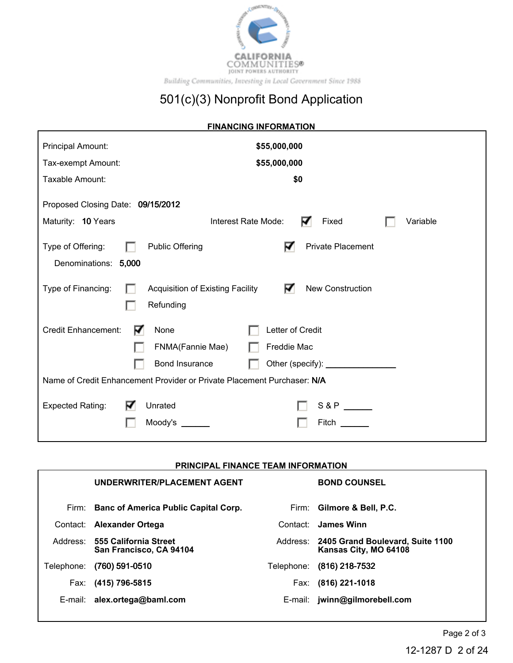

| <b>FINANCING INFORMATION</b>                                                                         |  |  |  |  |  |  |
|------------------------------------------------------------------------------------------------------|--|--|--|--|--|--|
| Principal Amount:<br>\$55,000,000                                                                    |  |  |  |  |  |  |
| \$55,000,000<br>Tax-exempt Amount:                                                                   |  |  |  |  |  |  |
| Taxable Amount:<br>\$0                                                                               |  |  |  |  |  |  |
| Proposed Closing Date: 09/15/2012                                                                    |  |  |  |  |  |  |
| Maturity: 10 Years<br>Interest Rate Mode:<br>Fixed<br>Variable                                       |  |  |  |  |  |  |
| ∇<br><b>Public Offering</b><br><b>Private Placement</b><br>Type of Offering:<br>Denominations: 5,000 |  |  |  |  |  |  |
| ☑<br><b>New Construction</b><br>Type of Financing:<br>Acquisition of Existing Facility<br>Refunding  |  |  |  |  |  |  |
| <b>Credit Enhancement:</b><br>None<br>Letter of Credit<br>V                                          |  |  |  |  |  |  |
| FNMA(Fannie Mae)<br>Freddie Mac                                                                      |  |  |  |  |  |  |
| Bond Insurance                                                                                       |  |  |  |  |  |  |
| Name of Credit Enhancement Provider or Private Placement Purchaser: N/A                              |  |  |  |  |  |  |
| <b>Expected Rating:</b><br>S & P<br>Unrated<br>Moody's<br>Fitch                                      |  |  |  |  |  |  |

## **PRINCIPAL FINANCE TEAM INFORMATION**

|            | UNDERWRITER/PLACEMENT AGENT                               |            | <b>BOND COUNSEL</b>                                       |
|------------|-----------------------------------------------------------|------------|-----------------------------------------------------------|
|            | Firm: Banc of America Public Capital Corp.                |            | Firm: Gilmore & Bell, P.C.                                |
| Contact:   | <b>Alexander Ortega</b>                                   | Contact:   | James Winn                                                |
|            | Address: 555 California Street<br>San Francisco, CA 94104 | Address:   | 2405 Grand Boulevard, Suite 1100<br>Kansas City, MO 64108 |
| Telephone: | $(760)$ 591-0510                                          | Telephone: | (816) 218-7532                                            |
| Fax:       | (415) 796-5815                                            | Fax:       | $(816)$ 221-1018                                          |
| E-mail:    | alex.ortega@baml.com                                      | E-mail:    | jwinn@gilmorebell.com                                     |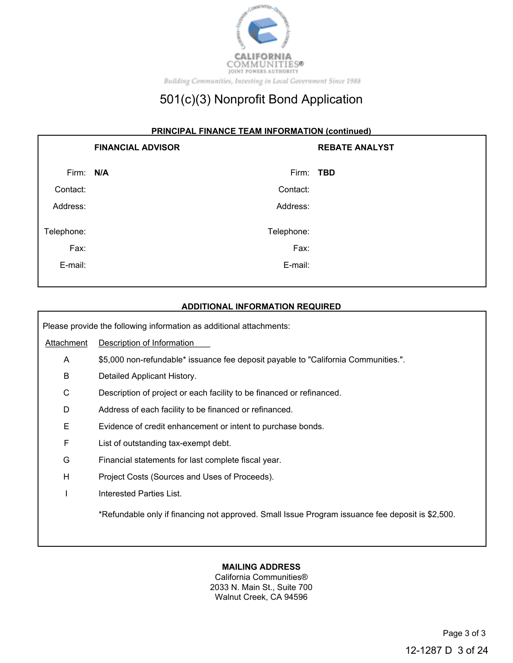

#### **PRINCIPAL FINANCE TEAM INFORMATION (continued)**

|            | <b>FINANCIAL ADVISOR</b> | <b>REBATE ANALYST</b> |
|------------|--------------------------|-----------------------|
| Firm: N/A  | Firm: TBD                |                       |
| Contact:   | Contact:                 |                       |
| Address:   | Address:                 |                       |
| Telephone: | Telephone:               |                       |
| Fax:       | Fax:                     |                       |
| E-mail:    | E-mail:                  |                       |

#### **ADDITIONAL INFORMATION REQUIRED**

Please provide the following information as additional attachments:

Attachment Description of Information

- A \$5,000 non-refundable\* issuance fee deposit payable to "California Communities.".
- B Detailed Applicant History.
- C Description of project or each facility to be financed or refinanced.
- D Address of each facility to be financed or refinanced.
- E Evidence of credit enhancement or intent to purchase bonds.
- F List of outstanding tax-exempt debt.
- G Financial statements for last complete fiscal year.
- H Project Costs (Sources and Uses of Proceeds).
- I Interested Parties List.

\*Refundable only if financing not approved. Small Issue Program issuance fee deposit is \$2,500.

## **MAILING ADDRESS**

California Communities® 2033 N. Main St., Suite 700 Walnut Creek, CA 94596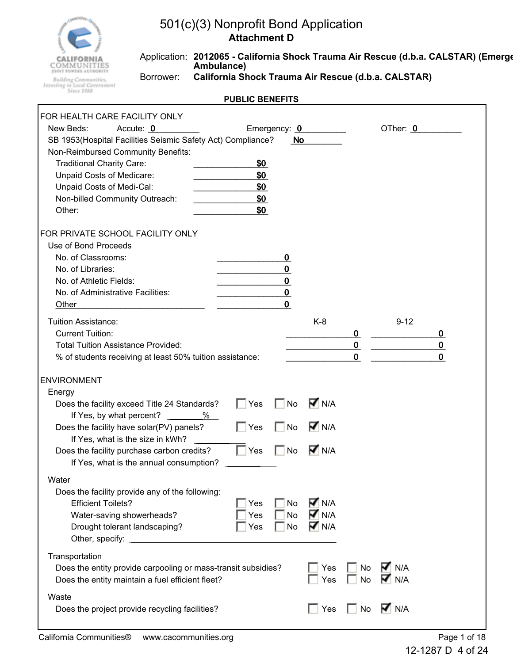

Application: **2012065 - California Shock Trauma Air Rescue (d.b.a. CALSTAR) (Emerge Ambulance)** Borrower: **California Shock Trauma Air Rescue (d.b.a. CALSTAR)**

| FOR HEALTH CARE FACILITY ONLY                                                                                                                                                                                                                                         |                                 |                                                                   |                                                    |                                        |                    |                                 |
|-----------------------------------------------------------------------------------------------------------------------------------------------------------------------------------------------------------------------------------------------------------------------|---------------------------------|-------------------------------------------------------------------|----------------------------------------------------|----------------------------------------|--------------------|---------------------------------|
| New Beds:<br>Accute: 0<br>SB 1953(Hospital Facilities Seismic Safety Act) Compliance?<br>Non-Reimbursed Community Benefits:<br><b>Traditional Charity Care:</b><br>Unpaid Costs of Medicare:<br>Unpaid Costs of Medi-Cal:<br>Non-billed Community Outreach:<br>Other: | \$0<br>\$0<br>\$0<br>\$0<br>\$0 | Emergency: 0<br>No                                                |                                                    |                                        | OTher: 0           |                                 |
| FOR PRIVATE SCHOOL FACILITY ONLY<br>Use of Bond Proceeds<br>No. of Classrooms:<br>No. of Libraries:<br>No. of Athletic Fields:<br>No. of Administrative Facilities:<br>Other                                                                                          |                                 | $\bf{0}$<br>$\mathbf 0$<br>$\bf{0}$<br>$\mathbf 0$<br>$\mathbf 0$ |                                                    |                                        |                    |                                 |
| <b>Tuition Assistance:</b><br><b>Current Tuition:</b><br><b>Total Tuition Assistance Provided:</b><br>% of students receiving at least 50% tuition assistance:                                                                                                        |                                 |                                                                   | $K-8$                                              | $\bf{0}$<br>$\mathbf 0$<br>$\mathbf 0$ | $9 - 12$           | 0<br>$\mathbf 0$<br>$\mathbf 0$ |
| <b>ENVIRONMENT</b>                                                                                                                                                                                                                                                    |                                 |                                                                   |                                                    |                                        |                    |                                 |
| Energy                                                                                                                                                                                                                                                                |                                 |                                                                   |                                                    |                                        |                    |                                 |
| Does the facility exceed Title 24 Standards?<br>If Yes, by what percent?<br>%                                                                                                                                                                                         | ∣ ∣Yes                          | No                                                                | $\overline{M}$ N/A                                 |                                        |                    |                                 |
| Does the facility have solar(PV) panels?<br>If Yes, what is the size in kWh?                                                                                                                                                                                          | $\Box$ Yes                      | No                                                                | $\overline{M}$ N/A                                 |                                        |                    |                                 |
| Does the facility purchase carbon credits?<br>If Yes, what is the annual consumption?                                                                                                                                                                                 | $\Box$ Yes                      | <b>No</b>                                                         | <b>M</b> N/A                                       |                                        |                    |                                 |
| Water                                                                                                                                                                                                                                                                 |                                 |                                                                   |                                                    |                                        |                    |                                 |
| Does the facility provide any of the following:<br><b>Efficient Toilets?</b><br>Water-saving showerheads?<br>Drought tolerant landscaping?                                                                                                                            | Yes<br>Yes<br>Yes               | No<br><b>No</b><br>No                                             | $\overline{M}$ N/A<br>$\nabla$ N/A<br><b>V</b> N/A |                                        |                    |                                 |
| Transportation<br>Does the entity provide carpooling or mass-transit subsidies?<br>Does the entity maintain a fuel efficient fleet?                                                                                                                                   |                                 |                                                                   | Yes<br>Yes                                         | No<br>No                               | M N/A<br>M N/A     |                                 |
| Waste<br>Does the project provide recycling facilities?                                                                                                                                                                                                               |                                 |                                                                   | Yes                                                | No                                     | $\overline{M}$ N/A |                                 |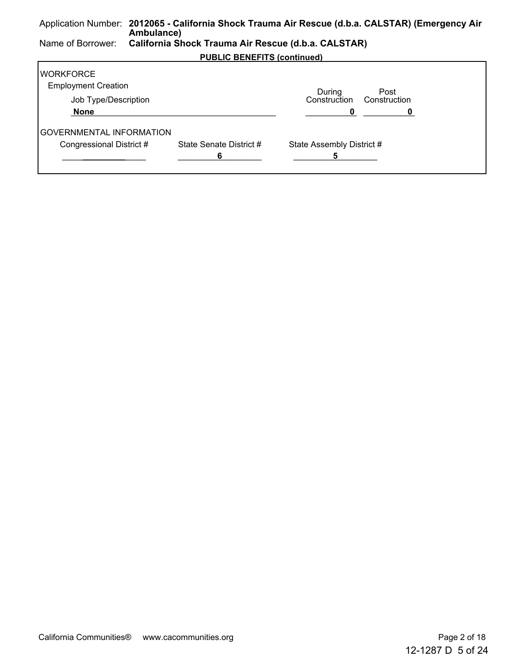#### Application Number: **2012065 - California Shock Trauma Air Rescue (d.b.a. CALSTAR) (Emergency Air Ambulance)** Name of Borrower: **California Shock Trauma Air Rescue (d.b.a. CALSTAR) PUBLIC BENEFITS (continued) WORKFORCE** Employment Creation Job Type/Description During Construction Construction Post  **None** \_\_\_\_\_\_\_\_\_\_\_\_\_\_\_\_\_\_\_\_\_\_\_\_\_\_\_\_\_\_\_\_\_\_\_\_\_\_\_\_\_\_\_\_ \_\_\_\_\_\_\_\_\_\_\_**0** \_\_\_\_\_\_\_\_\_\_\_**0**  GOVERNMENTAL INFORMATION Congressional District # State Senate District # State Assembly District #

\_\_\_\_\_\_\_\_\_\_\_\_\_\_\_\_\_\_ **\_\_\_\_\_\_\_\_\_** \_\_\_\_\_\_\_\_\_\_\_\_\_\_\_\_\_\_ **6** \_\_\_\_\_\_\_\_\_\_\_\_\_\_\_\_\_\_ **5**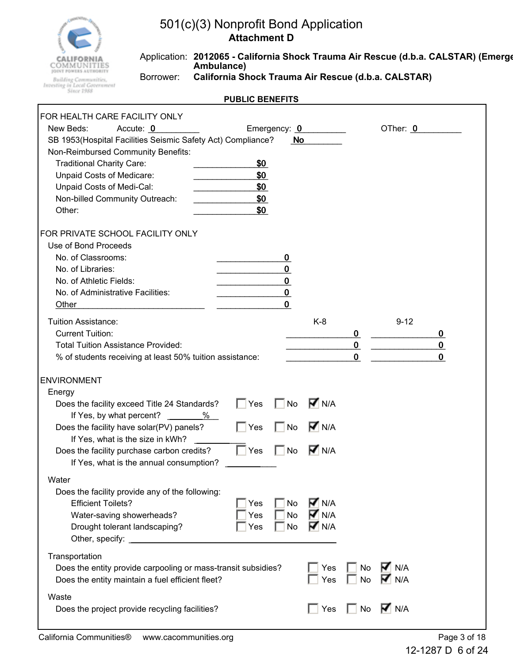

Application: **2012065 - California Shock Trauma Air Rescue (d.b.a. CALSTAR) (Emerge Ambulance)** Borrower: **California Shock Trauma Air Rescue (d.b.a. CALSTAR)**

| FOR HEALTH CARE FACILITY ONLY                                                                                                                                                                                                                                         |                                 |                                                      |                                              |                                           |                           |                                 |
|-----------------------------------------------------------------------------------------------------------------------------------------------------------------------------------------------------------------------------------------------------------------------|---------------------------------|------------------------------------------------------|----------------------------------------------|-------------------------------------------|---------------------------|---------------------------------|
| New Beds:<br>Accute: 0<br>SB 1953(Hospital Facilities Seismic Safety Act) Compliance?<br>Non-Reimbursed Community Benefits:<br><b>Traditional Charity Care:</b><br>Unpaid Costs of Medicare:<br>Unpaid Costs of Medi-Cal:<br>Non-billed Community Outreach:<br>Other: | \$0<br>\$0<br>\$0<br>\$0<br>\$0 | No                                                   | Emergency: 0                                 |                                           | OTher: 0                  |                                 |
| FOR PRIVATE SCHOOL FACILITY ONLY<br>Use of Bond Proceeds<br>No. of Classrooms:<br>No. of Libraries:<br>No. of Athletic Fields:<br>No. of Administrative Facilities:<br>Other                                                                                          |                                 | 0<br>$\bf{0}$<br>$\mathbf 0$<br>$\bf{0}$<br>$\bf{0}$ |                                              |                                           |                           |                                 |
| <b>Tuition Assistance:</b><br><b>Current Tuition:</b><br><b>Total Tuition Assistance Provided:</b><br>% of students receiving at least 50% tuition assistance:                                                                                                        |                                 |                                                      | $K-8$                                        | $\mathbf 0$<br>$\mathbf 0$<br>$\mathbf 0$ | $9 - 12$                  | 0<br>$\mathbf 0$<br>$\mathbf 0$ |
| <b>ENVIRONMENT</b>                                                                                                                                                                                                                                                    |                                 |                                                      |                                              |                                           |                           |                                 |
| Energy<br>Does the facility exceed Title 24 Standards?<br>If Yes, by what percent?<br>%                                                                                                                                                                               | $\Box$ Yes                      | No                                                   | $\overline{M}$ N/A                           |                                           |                           |                                 |
| Does the facility have solar(PV) panels?<br>If Yes, what is the size in kWh?                                                                                                                                                                                          | $\Box$ Yes                      | <b>No</b>                                            | $\overline{M}$ N/A                           |                                           |                           |                                 |
| Does the facility purchase carbon credits?<br>If Yes, what is the annual consumption?                                                                                                                                                                                 | $\Box$ Yes                      | <b>No</b>                                            | $\nabla$ N/A                                 |                                           |                           |                                 |
| Water<br>Does the facility provide any of the following:<br><b>Efficient Toilets?</b><br>Water-saving showerheads?<br>Drought tolerant landscaping?                                                                                                                   | Yes<br>Yes<br>Yes               | No<br><b>No</b><br><b>No</b>                         | $\nabla$ N/A<br><b>M</b> N/A<br><b>V</b> N/A |                                           |                           |                                 |
| Transportation<br>Does the entity provide carpooling or mass-transit subsidies?<br>Does the entity maintain a fuel efficient fleet?                                                                                                                                   |                                 |                                                      | Yes<br>Yes                                   | No<br>No                                  | $\overline{M}$ N/A<br>N/A |                                 |
| Waste<br>Does the project provide recycling facilities?                                                                                                                                                                                                               |                                 |                                                      | Yes                                          | No                                        | $\overline{M}$ N/A        |                                 |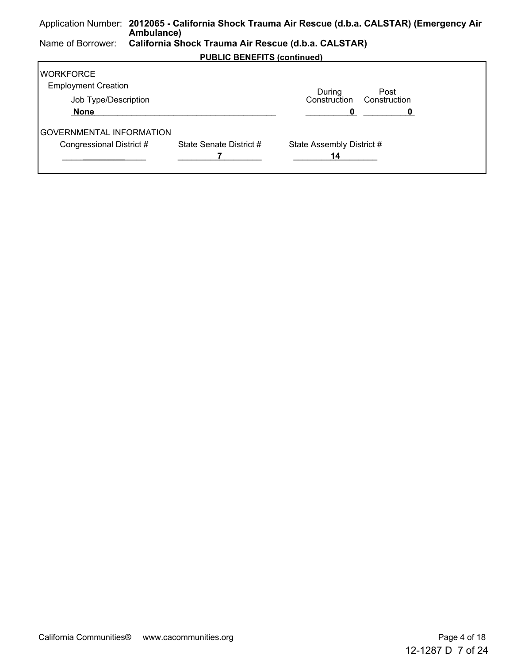#### Application Number: **2012065 - California Shock Trauma Air Rescue (d.b.a. CALSTAR) (Emergency Air Ambulance)** Name of Borrower: **California Shock Trauma Air Rescue (d.b.a. CALSTAR) PUBLIC BENEFITS (continued) WORKFORCE** Employment Creation Job Type/Description During Construction Post Construction  **None** \_\_\_\_\_\_\_\_\_\_\_\_\_\_\_\_\_\_\_\_\_\_\_\_\_\_\_\_\_\_\_\_\_\_\_\_\_\_\_\_\_\_\_\_ \_\_\_\_\_\_\_\_\_\_\_**0** \_\_\_\_\_\_\_\_\_\_\_**0**

\_\_\_\_\_\_\_\_\_\_\_\_\_\_\_\_\_\_ **\_\_\_\_\_\_\_\_\_** \_\_\_\_\_\_\_\_\_\_\_\_\_\_\_\_\_\_ **7** \_\_\_\_\_\_\_\_\_\_\_\_\_\_\_\_\_\_ **14**

Congressional District # State Senate District # State Assembly District #

| California Communities® www.cacommunities.org | Page 4 of 18 |
|-----------------------------------------------|--------------|
|                                               |              |

GOVERNMENTAL INFORMATION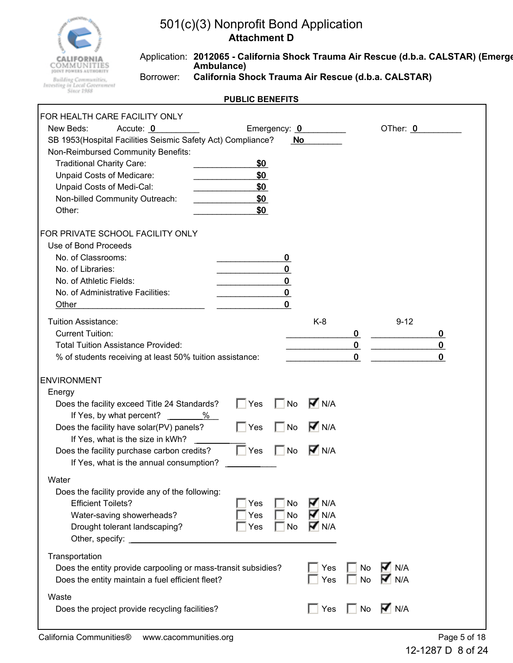

Application: **2012065 - California Shock Trauma Air Rescue (d.b.a. CALSTAR) (Emerge Ambulance)** Borrower: **California Shock Trauma Air Rescue (d.b.a. CALSTAR)**

| FOR HEALTH CARE FACILITY ONLY<br>New Beds:<br>Accute: 0                                                                                                                                                                                     |                                 | Emergency: 0                                             |                                                                |                                        | OTher: 0                    |                              |
|---------------------------------------------------------------------------------------------------------------------------------------------------------------------------------------------------------------------------------------------|---------------------------------|----------------------------------------------------------|----------------------------------------------------------------|----------------------------------------|-----------------------------|------------------------------|
| SB 1953(Hospital Facilities Seismic Safety Act) Compliance?<br>Non-Reimbursed Community Benefits:<br><b>Traditional Charity Care:</b><br>Unpaid Costs of Medicare:<br>Unpaid Costs of Medi-Cal:<br>Non-billed Community Outreach:<br>Other: | \$0<br>\$0<br>\$0<br>\$0<br>\$0 | No                                                       |                                                                |                                        |                             |                              |
| FOR PRIVATE SCHOOL FACILITY ONLY<br>Use of Bond Proceeds<br>No. of Classrooms:<br>No. of Libraries:<br>No. of Athletic Fields:<br>No. of Administrative Facilities:<br>Other                                                                |                                 | 0<br>$\mathbf 0$<br>$\bf{0}$<br>$\pmb{0}$<br>$\mathbf 0$ |                                                                |                                        |                             |                              |
| <b>Tuition Assistance:</b><br><b>Current Tuition:</b><br><b>Total Tuition Assistance Provided:</b><br>% of students receiving at least 50% tuition assistance:                                                                              |                                 |                                                          | $K-8$                                                          | $\bf{0}$<br>$\mathbf 0$<br>$\mathbf 0$ | $9 - 12$                    | 0<br>$\bf{0}$<br>$\mathbf 0$ |
| <b>ENVIRONMENT</b>                                                                                                                                                                                                                          |                                 |                                                          |                                                                |                                        |                             |                              |
| Energy<br>Does the facility exceed Title 24 Standards?<br>If Yes, by what percent?<br>%                                                                                                                                                     | Yes                             | No                                                       | $\overline{M}$ N/A                                             |                                        |                             |                              |
| Does the facility have solar(PV) panels?<br>If Yes, what is the size in kWh?                                                                                                                                                                | $\Box$ Yes                      | No                                                       | $\overline{M}$ N/A                                             |                                        |                             |                              |
| Does the facility purchase carbon credits?<br>If Yes, what is the annual consumption?                                                                                                                                                       | $\Box$ Yes                      | <b>No</b>                                                | $\overline{M}$ N/A                                             |                                        |                             |                              |
| Water                                                                                                                                                                                                                                       |                                 |                                                          |                                                                |                                        |                             |                              |
| Does the facility provide any of the following:<br><b>Efficient Toilets?</b><br>Water-saving showerheads?<br>Drought tolerant landscaping?                                                                                                  | Yes<br>Yes<br>Yes               | No<br><b>No</b><br>No                                    | $\overline{M}$ N/A<br>$\overline{M}$ N/A<br>$\overline{M}$ N/A |                                        |                             |                              |
| Transportation<br>Does the entity provide carpooling or mass-transit subsidies?<br>Does the entity maintain a fuel efficient fleet?                                                                                                         |                                 |                                                          | Yes<br>Yes                                                     | No<br><b>No</b>                        | $\overline{M}$ N/A<br>M N/A |                              |
| Waste<br>Does the project provide recycling facilities?                                                                                                                                                                                     |                                 |                                                          | Yes                                                            | No                                     | $\nabla$ N/A                |                              |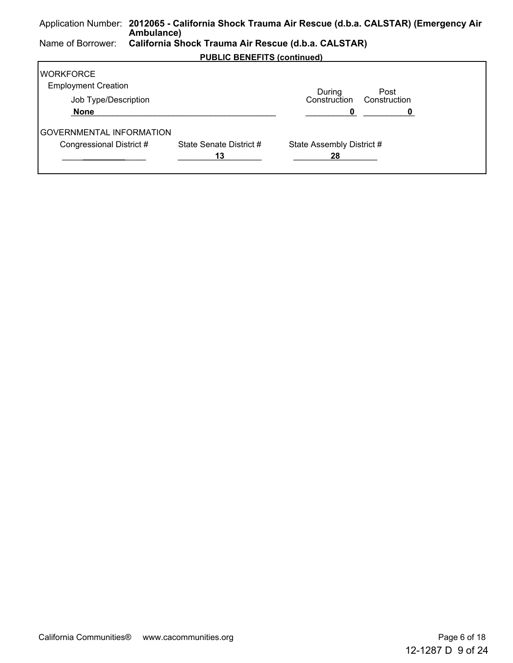#### Application Number: **2012065 - California Shock Trauma Air Rescue (d.b.a. CALSTAR) (Emergency Air Ambulance)** Name of Borrower: **California Shock Trauma Air Rescue (d.b.a. CALSTAR) PUBLIC BENEFITS (continued) WORKFORCE** Employment Creation Job Type/Description During Construction Construction Post  **None** \_\_\_\_\_\_\_\_\_\_\_\_\_\_\_\_\_\_\_\_\_\_\_\_\_\_\_\_\_\_\_\_\_\_\_\_\_\_\_\_\_\_\_\_ \_\_\_\_\_\_\_\_\_\_\_**0** \_\_\_\_\_\_\_\_\_\_\_**0**  GOVERNMENTAL INFORMATION

\_\_\_\_\_\_\_\_\_\_\_\_\_\_\_\_\_\_ **\_\_\_\_\_\_\_\_\_** \_\_\_\_\_\_\_\_\_\_\_\_\_\_\_\_\_\_ **13** \_\_\_\_\_\_\_\_\_\_\_\_\_\_\_\_\_\_ **28**

Congressional District # State Senate District # State Assembly District #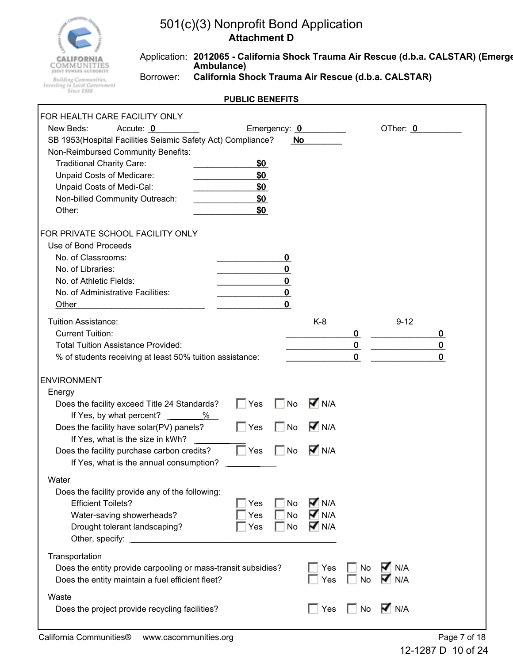

Application: **2012065 - California Shock Trauma Air Rescue (d.b.a. CALSTAR) (Emerge Ambulance)**

**Building Communities,<br>Investing in Local Government**<br>Since 1988

r

Borrower: **California Shock Trauma Air Rescue (d.b.a. CALSTAR)**

| FOR HEALTH CARE FACILITY ONLY                                 |            |              |                    |             |                           |             |
|---------------------------------------------------------------|------------|--------------|--------------------|-------------|---------------------------|-------------|
| New Beds:<br>Accute: 0                                        |            | Emergency: 0 |                    |             | OTher: 0                  |             |
| SB 1953(Hospital Facilities Seismic Safety Act) Compliance?   |            | No           |                    |             |                           |             |
| Non-Reimbursed Community Benefits:                            |            |              |                    |             |                           |             |
| <b>Traditional Charity Care:</b>                              | \$0        |              |                    |             |                           |             |
| Unpaid Costs of Medicare:                                     | \$0        |              |                    |             |                           |             |
| Unpaid Costs of Medi-Cal:                                     | \$0        |              |                    |             |                           |             |
| Non-billed Community Outreach:                                | \$0        |              |                    |             |                           |             |
| Other:                                                        | \$0        |              |                    |             |                           |             |
| FOR PRIVATE SCHOOL FACILITY ONLY                              |            |              |                    |             |                           |             |
| Use of Bond Proceeds                                          |            |              |                    |             |                           |             |
| No. of Classrooms:                                            |            | 0            |                    |             |                           |             |
| No. of Libraries:                                             |            | 0            |                    |             |                           |             |
| No. of Athletic Fields:                                       |            | $\mathbf 0$  |                    |             |                           |             |
| No. of Administrative Facilities:                             |            | $\bf{0}$     |                    |             |                           |             |
| Other                                                         |            | $\bf{0}$     |                    |             |                           |             |
| <b>Tuition Assistance:</b>                                    |            |              | $K-8$              |             | $9 - 12$                  |             |
| <b>Current Tuition:</b>                                       |            |              |                    | 0           |                           | 0           |
| <b>Total Tuition Assistance Provided:</b>                     |            |              |                    | $\bf{0}$    |                           | $\mathbf 0$ |
| % of students receiving at least 50% tuition assistance:      |            |              |                    | $\mathbf 0$ |                           | $\mathbf 0$ |
|                                                               |            |              |                    |             |                           |             |
| <b>ENVIRONMENT</b>                                            |            |              |                    |             |                           |             |
| Energy                                                        |            |              |                    |             |                           |             |
| Does the facility exceed Title 24 Standards?                  | $\Box$ Yes | No           | $\overline{M}$ N/A |             |                           |             |
| If Yes, by what percent?<br>%                                 |            |              |                    |             |                           |             |
| Does the facility have solar(PV) panels?                      | $\Box$ Yes | No           | $\overline{M}$ N/A |             |                           |             |
| If Yes, what is the size in kWh?                              |            |              |                    |             |                           |             |
| Does the facility purchase carbon credits?                    | $\Box$ Yes | <b>No</b>    | $\overline{M}$ N/A |             |                           |             |
| If Yes, what is the annual consumption?                       |            |              |                    |             |                           |             |
| Water                                                         |            |              |                    |             |                           |             |
| Does the facility provide any of the following:               |            |              |                    |             |                           |             |
| <b>Efficient Toilets?</b>                                     | Yes        | No           | $\nabla$ N/A       |             |                           |             |
| Water-saving showerheads?                                     | Yes        | <b>No</b>    | $\overline{M}$ N/A |             |                           |             |
| Drought tolerant landscaping?                                 | Yes        | No           | $\nabla$ N/A       |             |                           |             |
| Other, specify: National Assembly                             |            |              |                    |             |                           |             |
| Transportation                                                |            |              |                    |             |                           |             |
| Does the entity provide carpooling or mass-transit subsidies? |            |              | Yes                | No          | $\nabla \vert$ N/A        |             |
| Does the entity maintain a fuel efficient fleet?              |            |              | Yes                | No          | $\blacktriangleright$ N/A |             |
|                                                               |            |              |                    |             |                           |             |
| Waste                                                         |            |              | $\sqsupset$ Yes    | $\Box$ No   | $\overline{M}$ N/A        |             |
| Does the project provide recycling facilities?                |            |              |                    |             |                           |             |
|                                                               |            |              |                    |             |                           |             |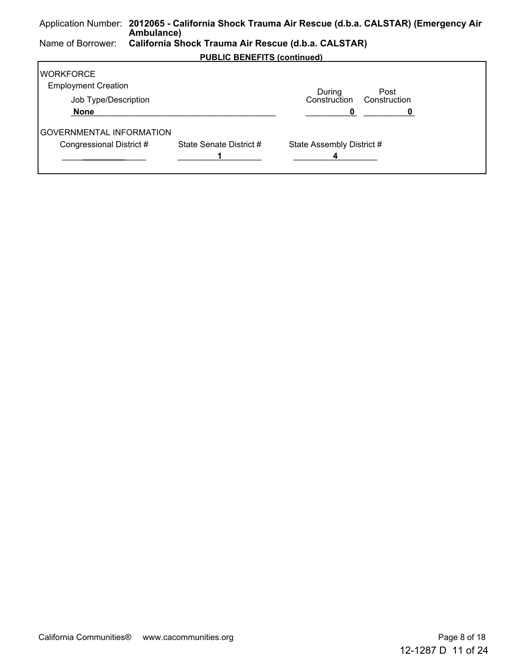#### Application Number: **2012065 - California Shock Trauma Air Rescue (d.b.a. CALSTAR) (Emergency Air Ambulance)** Name of Borrower: **California Shock Trauma Air Rescue (d.b.a. CALSTAR) PUBLIC BENEFITS (continued) WORKFORCE** Employment Creation Job Type/Description During Construction Construction Post  **None** \_\_\_\_\_\_\_\_\_\_\_\_\_\_\_\_\_\_\_\_\_\_\_\_\_\_\_\_\_\_\_\_\_\_\_\_\_\_\_\_\_\_\_\_ \_\_\_\_\_\_\_\_\_\_\_**0** \_\_\_\_\_\_\_\_\_\_\_**0**  GOVERNMENTAL INFORMATION Congressional District # State Senate District # State Assembly District #

\_\_\_\_\_\_\_\_\_\_\_\_\_\_\_\_\_\_ **\_\_\_\_\_\_\_\_\_** \_\_\_\_\_\_\_\_\_\_\_\_\_\_\_\_\_\_ **1** \_\_\_\_\_\_\_\_\_\_\_\_\_\_\_\_\_\_ **4**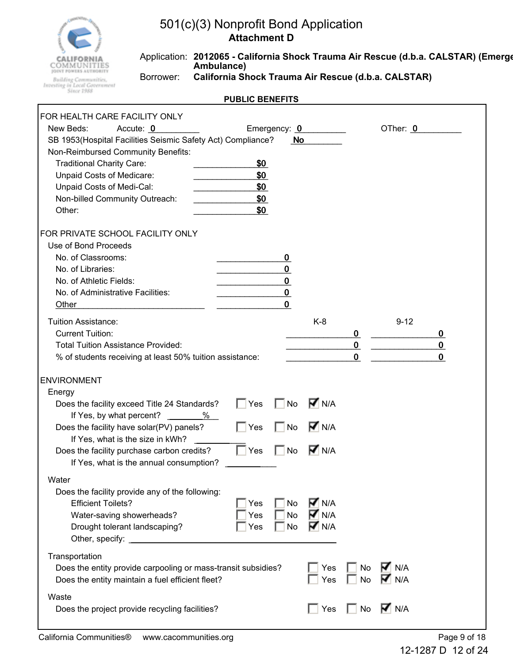

Application: **2012065 - California Shock Trauma Air Rescue (d.b.a. CALSTAR) (Emerge Ambulance)**

**Building Communities,<br>Investing in Local Government**<br>Since 1988

r

Borrower: **California Shock Trauma Air Rescue (d.b.a. CALSTAR)**

| FOR HEALTH CARE FACILITY ONLY                                 |            |              |                    |             |                           |             |
|---------------------------------------------------------------|------------|--------------|--------------------|-------------|---------------------------|-------------|
| New Beds:<br>Accute: 0                                        |            | Emergency: 0 |                    |             | OTher: 0                  |             |
| SB 1953(Hospital Facilities Seismic Safety Act) Compliance?   |            | No           |                    |             |                           |             |
| Non-Reimbursed Community Benefits:                            |            |              |                    |             |                           |             |
| <b>Traditional Charity Care:</b>                              | \$0        |              |                    |             |                           |             |
| Unpaid Costs of Medicare:                                     | \$0        |              |                    |             |                           |             |
| Unpaid Costs of Medi-Cal:                                     | \$0        |              |                    |             |                           |             |
| Non-billed Community Outreach:                                | \$0        |              |                    |             |                           |             |
| Other:                                                        | \$0        |              |                    |             |                           |             |
| FOR PRIVATE SCHOOL FACILITY ONLY                              |            |              |                    |             |                           |             |
| Use of Bond Proceeds                                          |            |              |                    |             |                           |             |
| No. of Classrooms:                                            |            | 0            |                    |             |                           |             |
| No. of Libraries:                                             |            | 0            |                    |             |                           |             |
| No. of Athletic Fields:                                       |            | $\mathbf 0$  |                    |             |                           |             |
| No. of Administrative Facilities:                             |            | $\bf{0}$     |                    |             |                           |             |
| Other                                                         |            | 0            |                    |             |                           |             |
| <b>Tuition Assistance:</b>                                    |            |              | $K-8$              |             | $9 - 12$                  |             |
| <b>Current Tuition:</b>                                       |            |              |                    | $\bf{0}$    |                           | 0           |
| <b>Total Tuition Assistance Provided:</b>                     |            |              |                    | $\pmb{0}$   |                           | 0           |
| % of students receiving at least 50% tuition assistance:      |            |              |                    | $\mathbf 0$ |                           | $\mathbf 0$ |
|                                                               |            |              |                    |             |                           |             |
| <b>ENVIRONMENT</b>                                            |            |              |                    |             |                           |             |
| Energy                                                        |            |              |                    |             |                           |             |
| Does the facility exceed Title 24 Standards?                  | $\Box$ Yes | <b>No</b>    | $\nabla$ N/A       |             |                           |             |
| If Yes, by what percent? ______<br>%                          |            |              |                    |             |                           |             |
| Does the facility have solar(PV) panels?                      | $\Box$ Yes | No           | $\overline{M}$ N/A |             |                           |             |
| If Yes, what is the size in kWh?                              |            |              |                    |             |                           |             |
| Does the facility purchase carbon credits?                    | $\Box$ Yes | <b>No</b>    | $\nabla$ N/A       |             |                           |             |
| If Yes, what is the annual consumption?                       |            |              |                    |             |                           |             |
| Water                                                         |            |              |                    |             |                           |             |
| Does the facility provide any of the following:               |            |              |                    |             |                           |             |
| <b>Efficient Toilets?</b>                                     | Yes        | No           | <b>V</b> N/A       |             |                           |             |
| Water-saving showerheads?                                     | Yes        | <b>No</b>    | $\overline{M}$ N/A |             |                           |             |
| Drought tolerant landscaping?                                 | Yes        | No           | <b>T</b> N/A       |             |                           |             |
|                                                               |            |              |                    |             |                           |             |
| Transportation                                                |            |              |                    |             |                           |             |
| Does the entity provide carpooling or mass-transit subsidies? |            |              | Yes                | No          | $\nabla \vert$ N/A        |             |
| Does the entity maintain a fuel efficient fleet?              |            |              | Yes                | No          | $\blacktriangleright$ N/A |             |
| Waste                                                         |            |              |                    |             |                           |             |
| Does the project provide recycling facilities?                |            |              | Yes                | $\Box$ No   | $\overline{M}$ N/A        |             |
|                                                               |            |              |                    |             |                           |             |
|                                                               |            |              |                    |             |                           |             |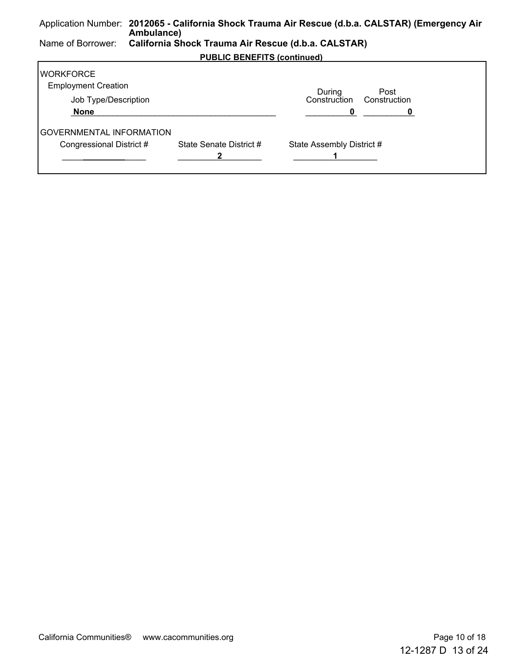#### Application Number: **2012065 - California Shock Trauma Air Rescue (d.b.a. CALSTAR) (Emergency Air Ambulance)** Name of Borrower: **California Shock Trauma Air Rescue (d.b.a. CALSTAR) PUBLIC BENEFITS (continued) WORKFORCE** Employment Creation Job Type/Description During Construction Construction Post  **None** \_\_\_\_\_\_\_\_\_\_\_\_\_\_\_\_\_\_\_\_\_\_\_\_\_\_\_\_\_\_\_\_\_\_\_\_\_\_\_\_\_\_\_\_ \_\_\_\_\_\_\_\_\_\_\_**0** \_\_\_\_\_\_\_\_\_\_\_**0**  GOVERNMENTAL INFORMATION Congressional District # State Senate District # State Assembly District # \_\_\_\_\_\_\_\_\_\_\_\_\_\_\_\_\_\_ **\_\_\_\_\_\_\_\_\_** \_\_\_\_\_\_\_\_\_\_\_\_\_\_\_\_\_\_ **2** \_\_\_\_\_\_\_\_\_\_\_\_\_\_\_\_\_\_ **1**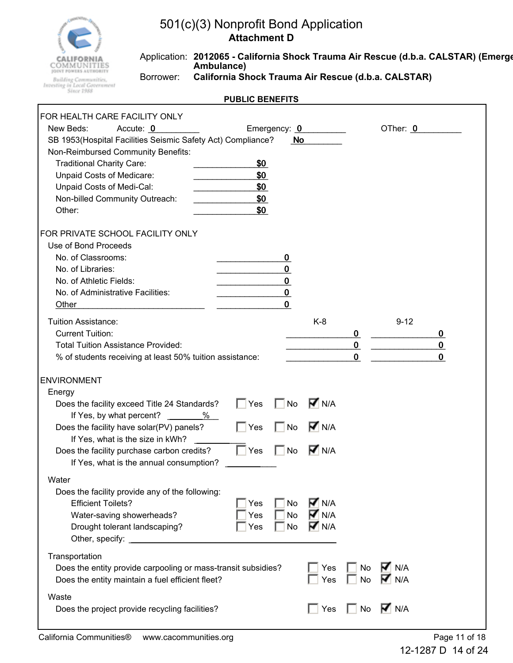

Application: **2012065 - California Shock Trauma Air Rescue (d.b.a. CALSTAR) (Emerge Ambulance)** Borrower: **California Shock Trauma Air Rescue (d.b.a. CALSTAR)**

| FOR HEALTH CARE FACILITY ONLY<br>New Beds:<br>Accute: 0                                                                                                                                                                                     |                                 | Emergency: 0                                             |                                                                |                                        | OTher: 0            |                              |
|---------------------------------------------------------------------------------------------------------------------------------------------------------------------------------------------------------------------------------------------|---------------------------------|----------------------------------------------------------|----------------------------------------------------------------|----------------------------------------|---------------------|------------------------------|
| SB 1953(Hospital Facilities Seismic Safety Act) Compliance?<br>Non-Reimbursed Community Benefits:<br><b>Traditional Charity Care:</b><br>Unpaid Costs of Medicare:<br>Unpaid Costs of Medi-Cal:<br>Non-billed Community Outreach:<br>Other: | \$0<br>\$0<br>\$0<br>\$0<br>\$0 | No                                                       |                                                                |                                        |                     |                              |
| FOR PRIVATE SCHOOL FACILITY ONLY<br>Use of Bond Proceeds<br>No. of Classrooms:<br>No. of Libraries:<br>No. of Athletic Fields:<br>No. of Administrative Facilities:<br>Other                                                                |                                 | 0<br>$\mathbf 0$<br>$\bf{0}$<br>$\pmb{0}$<br>$\mathbf 0$ |                                                                |                                        |                     |                              |
| <b>Tuition Assistance:</b><br><b>Current Tuition:</b><br><b>Total Tuition Assistance Provided:</b><br>% of students receiving at least 50% tuition assistance:                                                                              |                                 |                                                          | $K-8$                                                          | $\bf{0}$<br>$\mathbf 0$<br>$\mathbf 0$ | $9 - 12$            | 0<br>$\bf{0}$<br>$\mathbf 0$ |
| <b>ENVIRONMENT</b>                                                                                                                                                                                                                          |                                 |                                                          |                                                                |                                        |                     |                              |
| Energy                                                                                                                                                                                                                                      |                                 |                                                          |                                                                |                                        |                     |                              |
| Does the facility exceed Title 24 Standards?                                                                                                                                                                                                | Yes                             | No                                                       | $\overline{M}$ N/A                                             |                                        |                     |                              |
| If Yes, by what percent?<br>%<br>Does the facility have solar(PV) panels?<br>If Yes, what is the size in kWh?                                                                                                                               | $\Box$ Yes                      | No                                                       | $\overline{M}$ N/A                                             |                                        |                     |                              |
| Does the facility purchase carbon credits?<br>If Yes, what is the annual consumption?                                                                                                                                                       | $\Box$ Yes                      | <b>No</b>                                                | $\overline{M}$ N/A                                             |                                        |                     |                              |
| Water                                                                                                                                                                                                                                       |                                 |                                                          |                                                                |                                        |                     |                              |
| Does the facility provide any of the following:<br><b>Efficient Toilets?</b><br>Water-saving showerheads?<br>Drought tolerant landscaping?                                                                                                  | Yes<br>Yes<br>Yes               | No<br><b>No</b><br><b>No</b>                             | $\overline{M}$ N/A<br>$\overline{M}$ N/A<br>$\overline{M}$ N/A |                                        |                     |                              |
| Transportation<br>Does the entity provide carpooling or mass-transit subsidies?<br>Does the entity maintain a fuel efficient fleet?                                                                                                         |                                 |                                                          | Yes<br>Yes                                                     | No<br><b>No</b>                        | $\nabla$ n/a<br>N/A |                              |
| Waste<br>Does the project provide recycling facilities?                                                                                                                                                                                     |                                 |                                                          | Yes                                                            | No                                     | $\overline{M}$ N/A  |                              |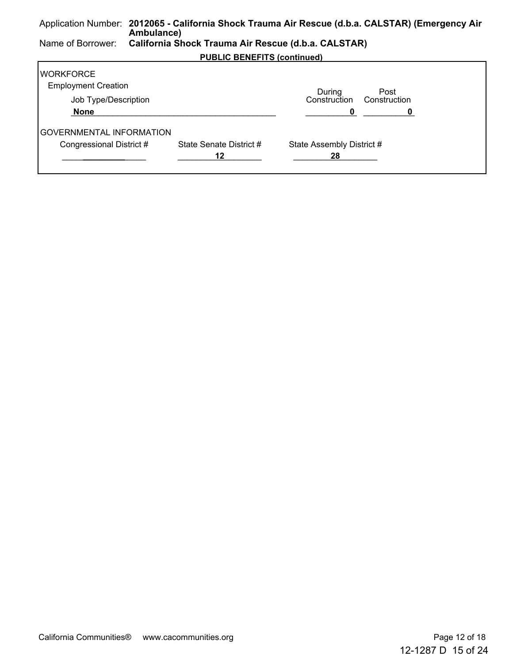#### Application Number: **2012065 - California Shock Trauma Air Rescue (d.b.a. CALSTAR) (Emergency Air Ambulance)** Name of Borrower: **California Shock Trauma Air Rescue (d.b.a. CALSTAR) PUBLIC BENEFITS (continued) WORKFORCE** Employment Creation Job Type/Description During Construction Construction Post  **None** \_\_\_\_\_\_\_\_\_\_\_\_\_\_\_\_\_\_\_\_\_\_\_\_\_\_\_\_\_\_\_\_\_\_\_\_\_\_\_\_\_\_\_\_ \_\_\_\_\_\_\_\_\_\_\_**0** \_\_\_\_\_\_\_\_\_\_\_**0**  GOVERNMENTAL INFORMATION

\_\_\_\_\_\_\_\_\_\_\_\_\_\_\_\_\_\_ **\_\_\_\_\_\_\_\_\_** \_\_\_\_\_\_\_\_\_\_\_\_\_\_\_\_\_\_ **12** \_\_\_\_\_\_\_\_\_\_\_\_\_\_\_\_\_\_ **28**

Congressional District # State Senate District # State Assembly District #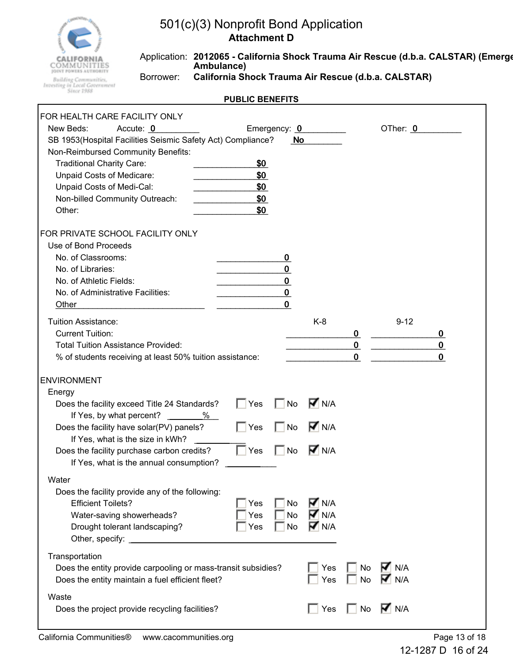

Application: **2012065 - California Shock Trauma Air Rescue (d.b.a. CALSTAR) (Emerge Ambulance)**

**Building Communities,<br>Investing in Local Government**<br>Since 1988

Г

Borrower: **California Shock Trauma Air Rescue (d.b.a. CALSTAR)**

| FOR HEALTH CARE FACILITY ONLY                                 |            |             |                    |             |                           |             |
|---------------------------------------------------------------|------------|-------------|--------------------|-------------|---------------------------|-------------|
| New Beds:<br>Accute: 0<br>Emergency: 0                        |            |             |                    |             | OTher: 0                  |             |
| SB 1953(Hospital Facilities Seismic Safety Act) Compliance?   |            | No          |                    |             |                           |             |
| Non-Reimbursed Community Benefits:                            |            |             |                    |             |                           |             |
| <b>Traditional Charity Care:</b>                              | \$0        |             |                    |             |                           |             |
| Unpaid Costs of Medicare:                                     | \$0        |             |                    |             |                           |             |
| Unpaid Costs of Medi-Cal:                                     | \$0        |             |                    |             |                           |             |
| Non-billed Community Outreach:                                | \$0        |             |                    |             |                           |             |
| Other:                                                        | \$0        |             |                    |             |                           |             |
| FOR PRIVATE SCHOOL FACILITY ONLY                              |            |             |                    |             |                           |             |
| Use of Bond Proceeds                                          |            |             |                    |             |                           |             |
| No. of Classrooms:                                            |            | 0           |                    |             |                           |             |
| No. of Libraries:                                             |            | 0           |                    |             |                           |             |
| No. of Athletic Fields:                                       |            | $\mathbf 0$ |                    |             |                           |             |
| No. of Administrative Facilities:                             |            | $\bf{0}$    |                    |             |                           |             |
| Other                                                         |            | 0           |                    |             |                           |             |
| <b>Tuition Assistance:</b>                                    |            |             | $K-8$              |             | $9 - 12$                  |             |
| <b>Current Tuition:</b>                                       |            |             |                    | $\bf{0}$    |                           | 0           |
| <b>Total Tuition Assistance Provided:</b>                     |            |             |                    | $\pmb{0}$   |                           | 0           |
| % of students receiving at least 50% tuition assistance:      |            |             |                    | $\mathbf 0$ |                           | $\mathbf 0$ |
|                                                               |            |             |                    |             |                           |             |
| <b>ENVIRONMENT</b>                                            |            |             |                    |             |                           |             |
| Energy                                                        |            |             |                    |             |                           |             |
| Does the facility exceed Title 24 Standards?                  | $\Box$ Yes | <b>No</b>   | $\nabla$ N/A       |             |                           |             |
| If Yes, by what percent? ______<br>%                          |            |             |                    |             |                           |             |
| Does the facility have solar(PV) panels?                      | $\Box$ Yes | No          | $\overline{M}$ N/A |             |                           |             |
| If Yes, what is the size in kWh?                              |            |             |                    |             |                           |             |
| Does the facility purchase carbon credits?                    | $\Box$ Yes | <b>No</b>   | $\nabla$ N/A       |             |                           |             |
| If Yes, what is the annual consumption?                       |            |             |                    |             |                           |             |
| Water                                                         |            |             |                    |             |                           |             |
| Does the facility provide any of the following:               |            |             |                    |             |                           |             |
| <b>Efficient Toilets?</b>                                     | Yes        | No          | <b>V</b> N/A       |             |                           |             |
| Water-saving showerheads?                                     | Yes        | <b>No</b>   | $\overline{M}$ N/A |             |                           |             |
| Drought tolerant landscaping?                                 | Yes        | No          | <b>T</b> N/A       |             |                           |             |
|                                                               |            |             |                    |             |                           |             |
| Transportation                                                |            |             |                    |             |                           |             |
| Does the entity provide carpooling or mass-transit subsidies? |            |             | Yes                | No          | $\nabla \vert$ N/A        |             |
| Does the entity maintain a fuel efficient fleet?              |            |             | Yes                | No          | $\blacktriangleright$ N/A |             |
| Waste                                                         |            |             |                    |             |                           |             |
| Does the project provide recycling facilities?                |            |             | Yes                | $\Box$ No   | $\overline{M}$ N/A        |             |
|                                                               |            |             |                    |             |                           |             |
|                                                               |            |             |                    |             |                           |             |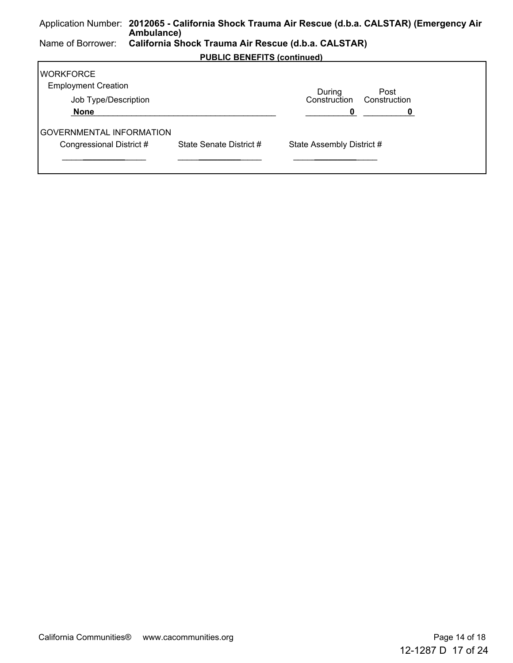#### Application Number: **2012065 - California Shock Trauma Air Rescue (d.b.a. CALSTAR) (Emergency Air Ambulance)** Name of Borrower: **California Shock Trauma Air Rescue (d.b.a. CALSTAR) PUBLIC BENEFITS (continued) WORKFORCE** Employment Creation Job Type/Description During Construction Construction Post  **None** \_\_\_\_\_\_\_\_\_\_\_\_\_\_\_\_\_\_\_\_\_\_\_\_\_\_\_\_\_\_\_\_\_\_\_\_\_\_\_\_\_\_\_\_ \_\_\_\_\_\_\_\_\_\_\_**0** \_\_\_\_\_\_\_\_\_\_\_**0**  GOVERNMENTAL INFORMATION Congressional District # State Senate District # State Assembly District # \_\_\_\_\_\_\_\_\_\_\_\_\_\_\_\_\_\_ **\_\_\_\_\_\_\_\_\_** \_\_\_\_\_\_\_\_\_\_\_\_\_\_\_\_\_\_ **\_\_\_\_\_\_\_\_\_** \_\_\_\_\_\_\_\_\_\_\_\_\_\_\_\_\_\_ **\_\_\_\_\_\_\_\_\_**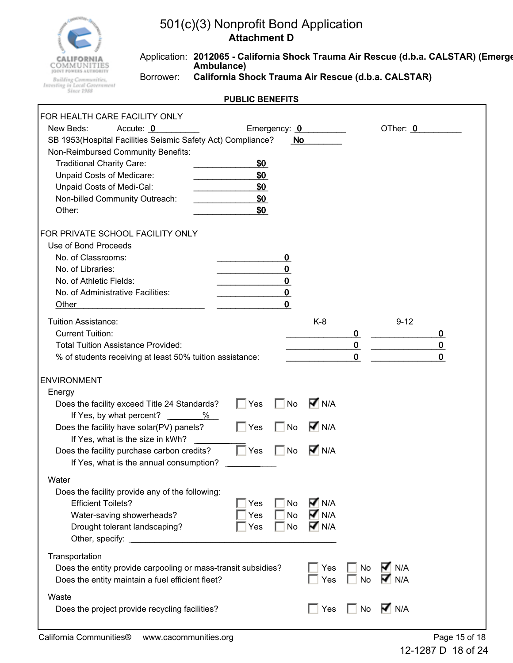

Application: **2012065 - California Shock Trauma Air Rescue (d.b.a. CALSTAR) (Emerge Ambulance)**

**Building Communities,<br>Investing in Local Government**<br>Since 1988

r

Borrower: **California Shock Trauma Air Rescue (d.b.a. CALSTAR)**

| FOR HEALTH CARE FACILITY ONLY                                 |            |             |                    |             |                    |             |
|---------------------------------------------------------------|------------|-------------|--------------------|-------------|--------------------|-------------|
| New Beds:<br>Accute: 0<br>Emergency: 0                        |            |             |                    |             | OTher: 0           |             |
| SB 1953(Hospital Facilities Seismic Safety Act) Compliance?   |            | No          |                    |             |                    |             |
| Non-Reimbursed Community Benefits:                            |            |             |                    |             |                    |             |
| <b>Traditional Charity Care:</b>                              | \$0        |             |                    |             |                    |             |
| Unpaid Costs of Medicare:                                     | \$0        |             |                    |             |                    |             |
| Unpaid Costs of Medi-Cal:                                     | \$0        |             |                    |             |                    |             |
| Non-billed Community Outreach:                                | \$0        |             |                    |             |                    |             |
| Other:                                                        | \$0        |             |                    |             |                    |             |
| FOR PRIVATE SCHOOL FACILITY ONLY                              |            |             |                    |             |                    |             |
| Use of Bond Proceeds                                          |            |             |                    |             |                    |             |
| No. of Classrooms:                                            |            | $\bf{0}$    |                    |             |                    |             |
| No. of Libraries:                                             |            | 0           |                    |             |                    |             |
| No. of Athletic Fields:                                       |            | $\mathbf 0$ |                    |             |                    |             |
| No. of Administrative Facilities:                             |            | $\bf{0}$    |                    |             |                    |             |
| Other                                                         |            | 0           |                    |             |                    |             |
| <b>Tuition Assistance:</b>                                    |            |             | $K-8$              |             | $9 - 12$           |             |
| <b>Current Tuition:</b>                                       |            |             |                    | 0           |                    | 0           |
| <b>Total Tuition Assistance Provided:</b>                     |            |             |                    | $\mathbf 0$ |                    | $\mathbf 0$ |
| % of students receiving at least 50% tuition assistance:      |            |             |                    | $\mathbf 0$ |                    | $\mathbf 0$ |
|                                                               |            |             |                    |             |                    |             |
| <b>ENVIRONMENT</b>                                            |            |             |                    |             |                    |             |
| Energy                                                        |            |             |                    |             |                    |             |
| Does the facility exceed Title 24 Standards?                  | $\Box$ Yes | <b>No</b>   | $\overline{M}$ N/A |             |                    |             |
| If Yes, by what percent?<br>%                                 |            |             |                    |             |                    |             |
| Does the facility have solar(PV) panels?                      | $\Box$ Yes | No          | $\overline{M}$ N/A |             |                    |             |
| If Yes, what is the size in kWh?                              |            |             |                    |             |                    |             |
| Does the facility purchase carbon credits?                    | $\Box$ Yes | <b>No</b>   | $\overline{M}$ N/A |             |                    |             |
| If Yes, what is the annual consumption?                       |            |             |                    |             |                    |             |
| Water                                                         |            |             |                    |             |                    |             |
| Does the facility provide any of the following:               |            |             |                    |             |                    |             |
| <b>Efficient Toilets?</b>                                     | Yes        | No          | $\overline{M}$ N/A |             |                    |             |
| Water-saving showerheads?                                     | Yes        | No          | $\overline{M}$ N/A |             |                    |             |
| Drought tolerant landscaping?                                 | Yes        | <b>No</b>   | <b>V</b> N/A       |             |                    |             |
|                                                               |            |             |                    |             |                    |             |
| Transportation                                                |            |             |                    |             |                    |             |
| Does the entity provide carpooling or mass-transit subsidies? |            |             | Yes                | No          | $\nabla \vert$ N/A |             |
| Does the entity maintain a fuel efficient fleet?              |            |             | Yes                | No          | M N/A              |             |
|                                                               |            |             |                    |             |                    |             |
| Waste                                                         |            |             |                    |             |                    |             |
| Does the project provide recycling facilities?                |            |             | $\sqsupset$ Yes    | $\Box$ No   | $\overline{M}$ N/A |             |
|                                                               |            |             |                    |             |                    |             |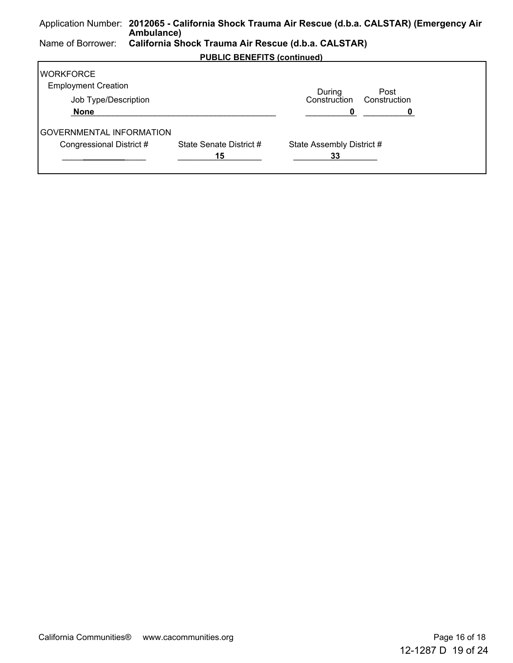#### Application Number: **2012065 - California Shock Trauma Air Rescue (d.b.a. CALSTAR) (Emergency Air Ambulance)** Name of Borrower: **California Shock Trauma Air Rescue (d.b.a. CALSTAR) PUBLIC BENEFITS (continued) WORKFORCE** Employment Creation Job Type/Description During Construction Construction Post  **None** \_\_\_\_\_\_\_\_\_\_\_\_\_\_\_\_\_\_\_\_\_\_\_\_\_\_\_\_\_\_\_\_\_\_\_\_\_\_\_\_\_\_\_\_ \_\_\_\_\_\_\_\_\_\_\_**0** \_\_\_\_\_\_\_\_\_\_\_**0**  GOVERNMENTAL INFORMATION

\_\_\_\_\_\_\_\_\_\_\_\_\_\_\_\_\_\_ **\_\_\_\_\_\_\_\_\_** \_\_\_\_\_\_\_\_\_\_\_\_\_\_\_\_\_\_ **15** \_\_\_\_\_\_\_\_\_\_\_\_\_\_\_\_\_\_ **33**

Congressional District # State Senate District # State Assembly District #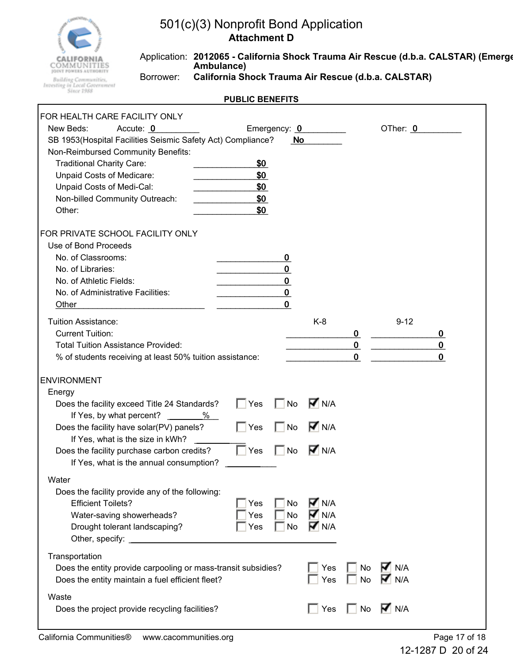

Application: **2012065 - California Shock Trauma Air Rescue (d.b.a. CALSTAR) (Emerge Ambulance)**

**Building Communities,<br>Investing in Local Government**<br>Since 1988

r

Borrower: **California Shock Trauma Air Rescue (d.b.a. CALSTAR)**

| FOR HEALTH CARE FACILITY ONLY                                 |            |             |                    |             |                           |              |
|---------------------------------------------------------------|------------|-------------|--------------------|-------------|---------------------------|--------------|
| New Beds:<br>Accute: 0<br>Emergency: 0                        |            |             |                    |             | OTher: 0                  |              |
| SB 1953(Hospital Facilities Seismic Safety Act) Compliance?   |            | No          |                    |             |                           |              |
| Non-Reimbursed Community Benefits:                            |            |             |                    |             |                           |              |
| <b>Traditional Charity Care:</b>                              | \$0        |             |                    |             |                           |              |
| Unpaid Costs of Medicare:                                     | \$0        |             |                    |             |                           |              |
| Unpaid Costs of Medi-Cal:                                     | \$0        |             |                    |             |                           |              |
| Non-billed Community Outreach:                                | \$0        |             |                    |             |                           |              |
| Other:                                                        | \$0        |             |                    |             |                           |              |
| FOR PRIVATE SCHOOL FACILITY ONLY                              |            |             |                    |             |                           |              |
| Use of Bond Proceeds                                          |            |             |                    |             |                           |              |
| No. of Classrooms:                                            |            | 0           |                    |             |                           |              |
| No. of Libraries:                                             |            | 0           |                    |             |                           |              |
| No. of Athletic Fields:                                       |            | $\mathbf 0$ |                    |             |                           |              |
| No. of Administrative Facilities:                             |            | $\bf{0}$    |                    |             |                           |              |
| Other                                                         |            | 0           |                    |             |                           |              |
| <b>Tuition Assistance:</b>                                    |            |             | $K-8$              |             | $9 - 12$                  |              |
| <b>Current Tuition:</b>                                       |            |             |                    | $\bf{0}$    |                           | 0            |
| <b>Total Tuition Assistance Provided:</b>                     |            |             |                    | $\pmb{0}$   |                           | $\mathbf 0$  |
| % of students receiving at least 50% tuition assistance:      |            |             |                    | $\mathbf 0$ |                           | $\mathbf{0}$ |
|                                                               |            |             |                    |             |                           |              |
| <b>ENVIRONMENT</b>                                            |            |             |                    |             |                           |              |
| Energy                                                        |            |             |                    |             |                           |              |
| Does the facility exceed Title 24 Standards?                  | $\Box$ Yes | <b>No</b>   | $\overline{M}$ N/A |             |                           |              |
| If Yes, by what percent?<br>%                                 |            |             |                    |             |                           |              |
| Does the facility have solar(PV) panels?                      | $\Box$ Yes | No          | $\overline{M}$ N/A |             |                           |              |
| If Yes, what is the size in kWh?                              |            |             |                    |             |                           |              |
| Does the facility purchase carbon credits?                    | $\Box$ Yes | <b>No</b>   | $\nabla$ N/A       |             |                           |              |
| If Yes, what is the annual consumption?                       |            |             |                    |             |                           |              |
|                                                               |            |             |                    |             |                           |              |
| Water                                                         |            |             |                    |             |                           |              |
| Does the facility provide any of the following:               |            |             |                    |             |                           |              |
| <b>Efficient Toilets?</b>                                     | Yes        | No          | <b>V</b> N/A       |             |                           |              |
| Water-saving showerheads?                                     | Yes        | <b>No</b>   | $\overline{M}$ N/A |             |                           |              |
| Drought tolerant landscaping?                                 | Yes        | <b>No</b>   | $\overline{M}$ N/A |             |                           |              |
| Other, specify: ______________                                |            |             |                    |             |                           |              |
| Transportation                                                |            |             |                    |             |                           |              |
| Does the entity provide carpooling or mass-transit subsidies? |            |             | Yes                | No          | $\blacktriangledown$ N/A  |              |
| Does the entity maintain a fuel efficient fleet?              |            |             | Yes                | No          | $\blacktriangleright$ N/A |              |
|                                                               |            |             |                    |             |                           |              |
| Waste                                                         |            |             |                    |             |                           |              |
| Does the project provide recycling facilities?                |            |             | $\sqsupset$ Yes    | $\Box$ No   | $\nabla$ N/A              |              |
|                                                               |            |             |                    |             |                           |              |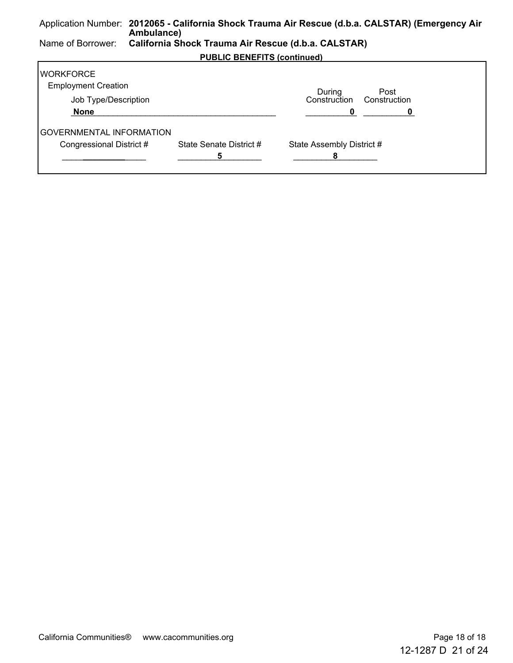#### Application Number: **2012065 - California Shock Trauma Air Rescue (d.b.a. CALSTAR) (Emergency Air Ambulance)** Name of Borrower: **California Shock Trauma Air Rescue (d.b.a. CALSTAR) PUBLIC BENEFITS (continued) WORKFORCE** Employment Creation Job Type/Description During Construction Construction Post  **None** \_\_\_\_\_\_\_\_\_\_\_\_\_\_\_\_\_\_\_\_\_\_\_\_\_\_\_\_\_\_\_\_\_\_\_\_\_\_\_\_\_\_\_\_ \_\_\_\_\_\_\_\_\_\_\_**0** \_\_\_\_\_\_\_\_\_\_\_**0**  GOVERNMENTAL INFORMATION Congressional District # State Senate District # State Assembly District #

\_\_\_\_\_\_\_\_\_\_\_\_\_\_\_\_\_\_ **\_\_\_\_\_\_\_\_\_** \_\_\_\_\_\_\_\_\_\_\_\_\_\_\_\_\_\_ **5** \_\_\_\_\_\_\_\_\_\_\_\_\_\_\_\_\_\_ **8**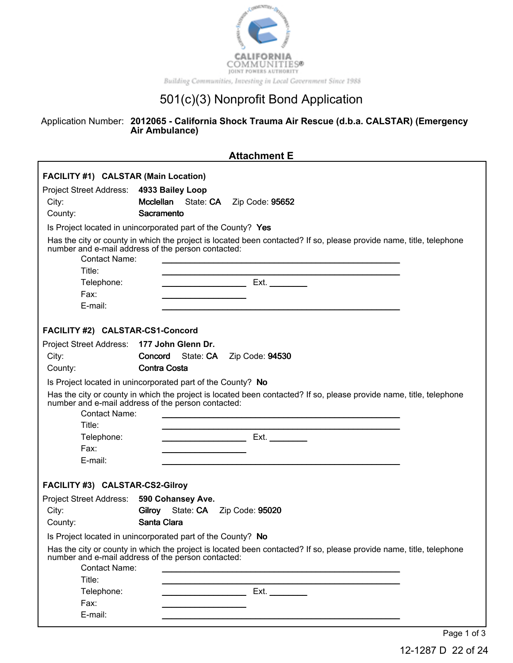

### Application Number: **2012065 - California Shock Trauma Air Rescue (d.b.a. CALSTAR) (Emergency Air Ambulance)**

| <b>Attachment E</b>                                                    |                                                                                                                                                                           |  |  |
|------------------------------------------------------------------------|---------------------------------------------------------------------------------------------------------------------------------------------------------------------------|--|--|
| FACILITY #1) CALSTAR (Main Location)<br><b>Project Street Address:</b> | 4933 Bailey Loop                                                                                                                                                          |  |  |
| City:                                                                  | <b>Mcclellan</b><br>State: CA<br>Zip Code: 95652                                                                                                                          |  |  |
| County:                                                                | Sacramento                                                                                                                                                                |  |  |
|                                                                        | Is Project located in unincorporated part of the County? Yes                                                                                                              |  |  |
| <b>Contact Name:</b>                                                   | Has the city or county in which the project is located been contacted? If so, please provide name, title, telephone<br>number and e-mail address of the person contacted: |  |  |
| Title:                                                                 |                                                                                                                                                                           |  |  |
| Telephone:                                                             | <u> 1989 - Johann Barbara, martin a</u>                                                                                                                                   |  |  |
| Fax:                                                                   |                                                                                                                                                                           |  |  |
| E-mail:                                                                |                                                                                                                                                                           |  |  |
| FACILITY #2) CALSTAR-CS1-Concord                                       |                                                                                                                                                                           |  |  |
| <b>Project Street Address:</b>                                         | 177 John Glenn Dr.                                                                                                                                                        |  |  |
| City:                                                                  | Concord<br>State: CA<br>Zip Code: 94530                                                                                                                                   |  |  |
| County:                                                                | <b>Contra Costa</b>                                                                                                                                                       |  |  |
|                                                                        | Is Project located in unincorporated part of the County? No                                                                                                               |  |  |
|                                                                        | Has the city or county in which the project is located been contacted? If so, please provide name, title, telephone number and e-mail address of the person contacted:    |  |  |
| <b>Contact Name:</b>                                                   |                                                                                                                                                                           |  |  |
| Title:                                                                 |                                                                                                                                                                           |  |  |
| Telephone:                                                             | Ext.                                                                                                                                                                      |  |  |
| Fax:                                                                   |                                                                                                                                                                           |  |  |
| E-mail:                                                                |                                                                                                                                                                           |  |  |
| FACILITY #3) CALSTAR-CS2-Gilroy                                        |                                                                                                                                                                           |  |  |
| Project Street Address:                                                | 590 Cohansey Ave.                                                                                                                                                         |  |  |
| City:                                                                  | Gilroy State: CA<br>Zip Code: 95020                                                                                                                                       |  |  |
| County:                                                                | Santa Clara                                                                                                                                                               |  |  |
|                                                                        | Is Project located in unincorporated part of the County? No                                                                                                               |  |  |
|                                                                        | Has the city or county in which the project is located been contacted? If so, please provide name, title, telephone<br>number and e-mail address of the person contacted: |  |  |
| <b>Contact Name:</b>                                                   |                                                                                                                                                                           |  |  |
| Title:                                                                 |                                                                                                                                                                           |  |  |
| Telephone:                                                             | Ext.                                                                                                                                                                      |  |  |
| Fax:                                                                   |                                                                                                                                                                           |  |  |
| E-mail:                                                                |                                                                                                                                                                           |  |  |
|                                                                        | Page 1 of 3                                                                                                                                                               |  |  |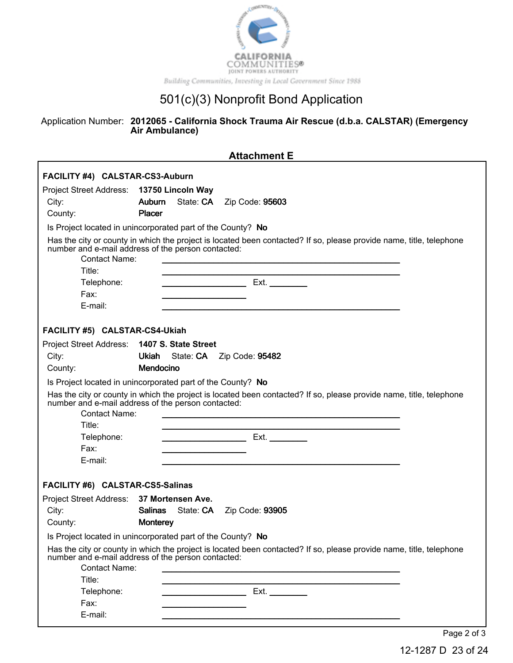

### Application Number: **2012065 - California Shock Trauma Air Rescue (d.b.a. CALSTAR) (Emergency Air Ambulance)**

|                                           | <b>Attachment E</b>                                                                                                                                                       |
|-------------------------------------------|---------------------------------------------------------------------------------------------------------------------------------------------------------------------------|
| FACILITY #4) CALSTAR-CS3-Auburn           |                                                                                                                                                                           |
| Project Street Address: 13750 Lincoln Way |                                                                                                                                                                           |
| City:                                     | Auburn<br>State: CA    Zip Code: 95603                                                                                                                                    |
| County:                                   | Placer                                                                                                                                                                    |
|                                           | Is Project located in unincorporated part of the County? No                                                                                                               |
| <b>Contact Name:</b>                      | Has the city or county in which the project is located been contacted? If so, please provide name, title, telephone<br>number and e-mail address of the person contacted: |
| Title:                                    |                                                                                                                                                                           |
| Telephone:                                | Ext.<br><u> 1980 - Johann Barnett, fransk kongresu</u>                                                                                                                    |
| Fax:                                      | <u> 1989 - Johann Barn, amerikan besteman besteman besteman besteman besteman besteman besteman besteman besteman</u>                                                     |
| E-mail:                                   |                                                                                                                                                                           |
| FACILITY #5) CALSTAR-CS4-Ukiah            |                                                                                                                                                                           |
| <b>Project Street Address:</b>            | 1407 S. State Street                                                                                                                                                      |
| City:                                     | State: CA    Zip Code: 95482<br>Ukiah                                                                                                                                     |
| County:                                   | Mendocino                                                                                                                                                                 |
|                                           | Is Project located in unincorporated part of the County? No                                                                                                               |
| Contact Name:<br>Title:                   | Has the city or county in which the project is located been contacted? If so, please provide name, title, telephone<br>number and e-mail address of the person contacted: |
| Telephone:                                | Ext. $\qquad \qquad$                                                                                                                                                      |
| Fax:                                      |                                                                                                                                                                           |
| E-mail:                                   |                                                                                                                                                                           |
| FACILITY #6) CALSTAR-CS5-Salinas          |                                                                                                                                                                           |
| Project Street Address: 37 Mortensen Ave. |                                                                                                                                                                           |
| City:                                     | <b>Salinas</b><br>State: CA    Zip Code: 93905                                                                                                                            |
| County:                                   | Monterey                                                                                                                                                                  |
|                                           | Is Project located in unincorporated part of the County? No                                                                                                               |
| <b>Contact Name:</b><br>Title:            | Has the city or county in which the project is located been contacted? If so, please provide name, title, telephone<br>number and e-mail address of the person contacted: |
| Telephone:                                |                                                                                                                                                                           |
| Fax:                                      | Ext.                                                                                                                                                                      |
| E-mail:                                   |                                                                                                                                                                           |
|                                           |                                                                                                                                                                           |
|                                           | Page 2 of 3                                                                                                                                                               |

12-1287 D 23 of 24